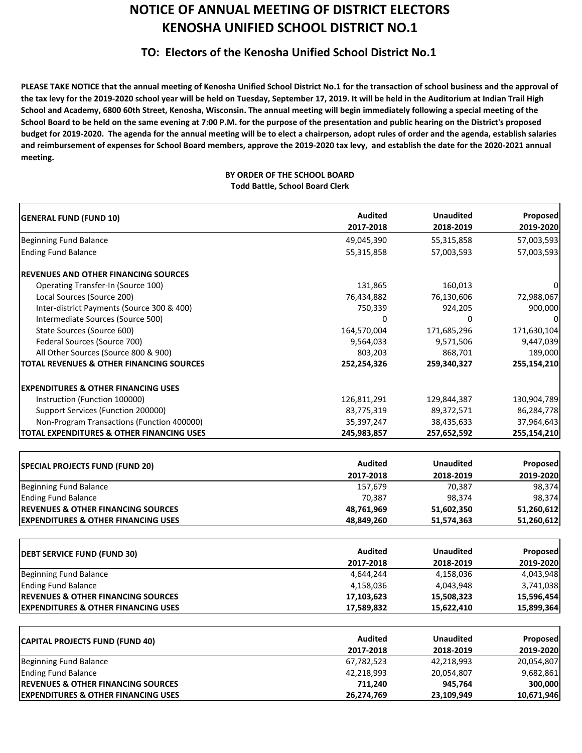## **NOTICE OF ANNUAL MEETING OF DISTRICT ELECTORS KENOSHA UNIFIED SCHOOL DISTRICT NO.1**

## **TO: Electors of the Kenosha Unified School District No.1**

**PLEASE TAKE NOTICE that the annual meeting of Kenosha Unified School District No.1 for the transaction of school business and the approval of the tax levy for the 2019‐2020 school year will be held on Tuesday, September 17, 2019. It will be held in the Auditorium at Indian Trail High School and Academy, 6800 60th Street, Kenosha, Wisconsin. The annual meeting will begin immediately following a special meeting of the School Board to be held on the same evening at 7:00 P.M. for the purpose of the presentation and public hearing on the District's proposed budget for 2019‐2020. The agenda for the annual meeting will be to elect a chairperson, adopt rules of order and the agenda, establish salaries and reimbursement of expenses for School Board members, approve the 2019‐2020 tax levy, and establish the date for the 2020‐2021 annual meeting.**

## **BY ORDER OF THE SCHOOL BOARD Todd Battle, School Board Clerk**

| <b>GENERAL FUND (FUND 10)</b>                        | <b>Audited</b> | <b>Unaudited</b> | Proposed        |
|------------------------------------------------------|----------------|------------------|-----------------|
|                                                      | 2017-2018      | 2018-2019        | 2019-2020       |
| <b>Beginning Fund Balance</b>                        | 49,045,390     | 55,315,858       | 57,003,593      |
| <b>Ending Fund Balance</b>                           | 55,315,858     | 57,003,593       | 57,003,593      |
| <b>REVENUES AND OTHER FINANCING SOURCES</b>          |                |                  |                 |
| Operating Transfer-In (Source 100)                   | 131,865        | 160,013          |                 |
| Local Sources (Source 200)                           | 76,434,882     | 76,130,606       | 72,988,067      |
| Inter-district Payments (Source 300 & 400)           | 750,339        | 924,205          | 900,000         |
| Intermediate Sources (Source 500)                    | 0              | 0                |                 |
| State Sources (Source 600)                           | 164,570,004    | 171,685,296      | 171,630,104     |
| Federal Sources (Source 700)                         | 9,564,033      | 9,571,506        | 9,447,039       |
| All Other Sources (Source 800 & 900)                 | 803,203        | 868,701          | 189,000         |
| <b>TOTAL REVENUES &amp; OTHER FINANCING SOURCES</b>  | 252,254,326    | 259,340,327      | 255,154,210     |
| <b>EXPENDITURES &amp; OTHER FINANCING USES</b>       |                |                  |                 |
| Instruction (Function 100000)                        | 126,811,291    | 129,844,387      | 130,904,789     |
| Support Services (Function 200000)                   | 83,775,319     | 89,372,571       | 86,284,778      |
| Non-Program Transactions (Function 400000)           | 35,397,247     | 38,435,633       | 37,964,643      |
| <b>TOTAL EXPENDITURES &amp; OTHER FINANCING USES</b> | 245,983,857    | 257,652,592      | 255,154,210     |
|                                                      |                |                  |                 |
| <b>SPECIAL PROJECTS FUND (FUND 20)</b>               | <b>Audited</b> | <b>Unaudited</b> | <b>Proposed</b> |
|                                                      | 2017-2018      | 2018-2019        | 2019-2020       |
| <b>Beginning Fund Balance</b>                        | 157,679        | 70,387           | 98,374          |
| <b>Ending Fund Balance</b>                           | 70,387         | 98,374           | 98,374          |
| <b>REVENUES &amp; OTHER FINANCING SOURCES</b>        | 48,761,969     | 51,602,350       | 51,260,612      |
| <b>EXPENDITURES &amp; OTHER FINANCING USES</b>       | 48,849,260     | 51,574,363       | 51,260,612      |
|                                                      |                |                  |                 |
| <b>DEBT SERVICE FUND (FUND 30)</b>                   | <b>Audited</b> | <b>Unaudited</b> | Proposed        |
|                                                      | 2017-2018      | 2018-2019        | 2019-2020       |
| <b>Beginning Fund Balance</b>                        | 4,644,244      | 4,158,036        | 4,043,948       |
| <b>Ending Fund Balance</b>                           | 4,158,036      | 4,043,948        | 3,741,038       |
| <b>REVENUES &amp; OTHER FINANCING SOURCES</b>        | 17,103,623     | 15,508,323       | 15,596,454      |
| <b>EXPENDITURES &amp; OTHER FINANCING USES</b>       | 17,589,832     | 15,622,410       | 15,899,364      |
|                                                      | <b>Audited</b> | <b>Unaudited</b> | <b>Proposed</b> |
| <b>CAPITAL PROJECTS FUND (FUND 40)</b>               | 2017-2018      | 2018-2019        | 2019-2020       |
| <b>Beginning Fund Balance</b>                        | 67,782,523     | 42,218,993       | 20,054,807      |
| <b>Ending Fund Balance</b>                           | 42,218,993     | 20,054,807       | 9,682,861       |
| <b>REVENUES &amp; OTHER FINANCING SOURCES</b>        | 711,240        | 945,764          | 300,000         |
| <b>EXPENDITURES &amp; OTHER FINANCING USES</b>       | 26,274,769     | 23,109,949       | 10,671,946      |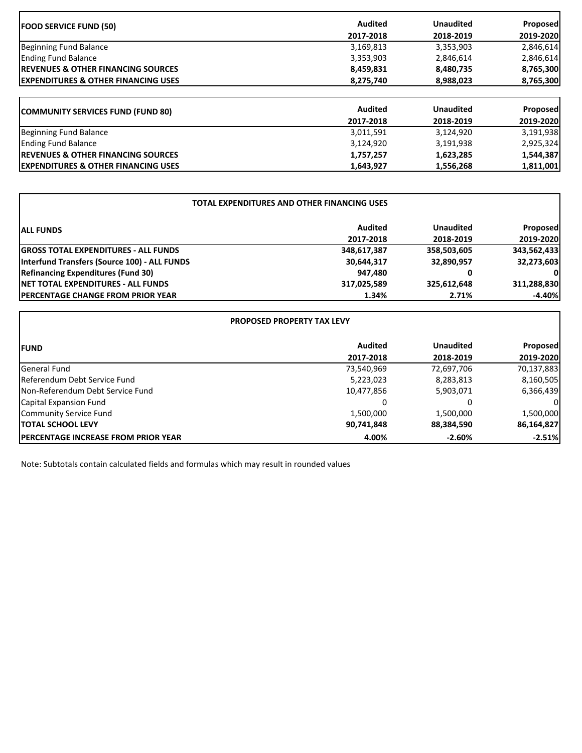| <b>FOOD SERVICE FUND (50)</b>                   | <b>Audited</b> | <b>Unaudited</b> | <b>Proposed</b> |
|-------------------------------------------------|----------------|------------------|-----------------|
|                                                 | 2017-2018      | 2018-2019        | 2019-2020       |
| Beginning Fund Balance                          | 3,169,813      | 3,353,903        | 2,846,614       |
| <b>Ending Fund Balance</b>                      | 3,353,903      | 2,846,614        | 2,846,614       |
| <b>IREVENUES &amp; OTHER FINANCING SOURCES</b>  | 8,459,831      | 8,480,735        | 8,765,300       |
| <b>IEXPENDITURES &amp; OTHER FINANCING USES</b> | 8,275,740      | 8,988,023        | 8,765,300       |
| <b>COMMUNITY SERVICES FUND (FUND 80)</b>        | <b>Audited</b> | <b>Unaudited</b> | Proposed        |
|                                                 | 2017-2018      | 2018-2019        | 2019-2020       |
| Beginning Fund Balance                          | 3,011,591      | 3,124,920        | 3,191,938       |
| <b>Ending Fund Balance</b>                      | 3,124,920      | 3,191,938        | 2,925,324       |
| <b>IREVENUES &amp; OTHER FINANCING SOURCES</b>  | 1,757,257      | 1,623,285        | 1,544,387       |
| <b>EXPENDITURES &amp; OTHER FINANCING USES</b>  | 1,643,927      | 1,556,268        | 1,811,001       |

٦

| TOTAL EXPENDITURES AND OTHER FINANCING USES  |                |                  |              |  |
|----------------------------------------------|----------------|------------------|--------------|--|
| <b>ALL FUNDS</b>                             | <b>Audited</b> | <b>Unaudited</b> | Proposed     |  |
|                                              | 2017-2018      | 2018-2019        | 2019-2020    |  |
| <b>GROSS TOTAL EXPENDITURES - ALL FUNDS</b>  | 348,617,387    | 358,503,605      | 343,562,433  |  |
| Interfund Transfers (Source 100) - ALL FUNDS | 30,644,317     | 32,890,957       | 32,273,603   |  |
| <b>Refinancing Expenditures (Fund 30)</b>    | 947,480        | 0                | $\mathbf{0}$ |  |
| <b>INET TOTAL EXPENDITURES - ALL FUNDS</b>   | 317,025,589    | 325,612,648      | 311,288,830  |  |
| <b>IPERCENTAGE CHANGE FROM PRIOR YEAR</b>    | 1.34%          | 2.71%            | $-4.40%$     |  |

| <b>PROPOSED PROPERTY TAX LEVY</b>           |                |                  |                 |
|---------------------------------------------|----------------|------------------|-----------------|
| <b>IFUND</b>                                | <b>Audited</b> | <b>Unaudited</b> | <b>Proposed</b> |
|                                             | 2017-2018      | 2018-2019        | 2019-2020       |
| General Fund                                | 73,540,969     | 72,697,706       | 70,137,883      |
| Referendum Debt Service Fund                | 5,223,023      | 8,283,813        | 8,160,505       |
| Non-Referendum Debt Service Fund            | 10,477,856     | 5,903,071        | 6,366,439       |
| Capital Expansion Fund                      | 0              | 0                | ΟI              |
| Community Service Fund                      | 1,500,000      | 1,500,000        | 1,500,000       |
| <b>ITOTAL SCHOOL LEVY</b>                   | 90,741,848     | 88,384,590       | 86,164,827      |
| <b>IPERCENTAGE INCREASE FROM PRIOR YEAR</b> | 4.00%          | $-2.60%$         | $-2.51%$        |

Note: Subtotals contain calculated fields and formulas which may result in rounded values

 $\mathbf{r}$